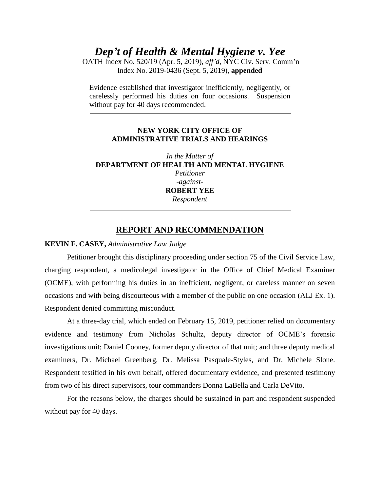*Dep't of Health & Mental Hygiene v. Yee*

OATH Index No. 520/19 (Apr. 5, 2019), *aff'd*, NYC Civ. Serv. Comm'n Index No. 2019-0436 (Sept. 5, 2019), **appended**

Evidence established that investigator inefficiently, negligently, or carelessly performed his duties on four occasions. Suspension without pay for 40 days recommended.

## **NEW YORK CITY OFFICE OF ADMINISTRATIVE TRIALS AND HEARINGS**

*In the Matter of*  **DEPARTMENT OF HEALTH AND MENTAL HYGIENE** *Petitioner -against-***ROBERT YEE** *Respondent*

## **REPORT AND RECOMMENDATION**

## **KEVIN F. CASEY,** *Administrative Law Judge*

Petitioner brought this disciplinary proceeding under section 75 of the Civil Service Law, charging respondent, a medicolegal investigator in the Office of Chief Medical Examiner (OCME), with performing his duties in an inefficient, negligent, or careless manner on seven occasions and with being discourteous with a member of the public on one occasion (ALJ Ex. 1). Respondent denied committing misconduct.

At a three-day trial, which ended on February 15, 2019, petitioner relied on documentary evidence and testimony from Nicholas Schultz, deputy director of OCME's forensic investigations unit; Daniel Cooney, former deputy director of that unit; and three deputy medical examiners, Dr. Michael Greenberg, Dr. Melissa Pasquale-Styles, and Dr. Michele Slone. Respondent testified in his own behalf, offered documentary evidence, and presented testimony from two of his direct supervisors, tour commanders Donna LaBella and Carla DeVito.

For the reasons below, the charges should be sustained in part and respondent suspended without pay for 40 days.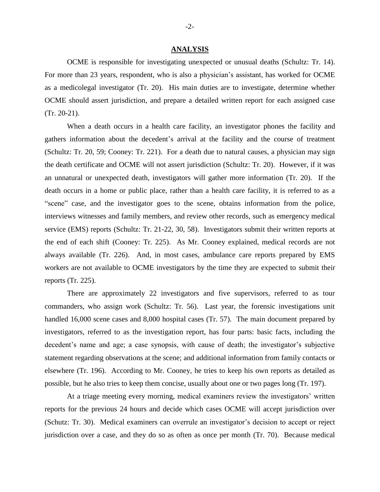#### **ANALYSIS**

OCME is responsible for investigating unexpected or unusual deaths (Schultz: Tr. 14). For more than 23 years, respondent, who is also a physician's assistant, has worked for OCME as a medicolegal investigator (Tr. 20). His main duties are to investigate, determine whether OCME should assert jurisdiction, and prepare a detailed written report for each assigned case (Tr. 20-21).

When a death occurs in a health care facility, an investigator phones the facility and gathers information about the decedent's arrival at the facility and the course of treatment (Schultz: Tr. 20, 59; Cooney: Tr. 221). For a death due to natural causes, a physician may sign the death certificate and OCME will not assert jurisdiction (Schultz: Tr. 20). However, if it was an unnatural or unexpected death, investigators will gather more information (Tr. 20). If the death occurs in a home or public place, rather than a health care facility, it is referred to as a "scene" case, and the investigator goes to the scene, obtains information from the police, interviews witnesses and family members, and review other records, such as emergency medical service (EMS) reports (Schultz: Tr. 21-22, 30, 58). Investigators submit their written reports at the end of each shift (Cooney: Tr. 225). As Mr. Cooney explained, medical records are not always available (Tr. 226). And, in most cases, ambulance care reports prepared by EMS workers are not available to OCME investigators by the time they are expected to submit their reports (Tr. 225).

There are approximately 22 investigators and five supervisors, referred to as tour commanders, who assign work (Schultz: Tr. 56). Last year, the forensic investigations unit handled 16,000 scene cases and 8,000 hospital cases (Tr. 57). The main document prepared by investigators, referred to as the investigation report, has four parts: basic facts, including the decedent's name and age; a case synopsis, with cause of death; the investigator's subjective statement regarding observations at the scene; and additional information from family contacts or elsewhere (Tr. 196). According to Mr. Cooney, he tries to keep his own reports as detailed as possible, but he also tries to keep them concise, usually about one or two pages long (Tr. 197).

At a triage meeting every morning, medical examiners review the investigators' written reports for the previous 24 hours and decide which cases OCME will accept jurisdiction over (Schutz: Tr. 30). Medical examiners can overrule an investigator's decision to accept or reject jurisdiction over a case, and they do so as often as once per month (Tr. 70). Because medical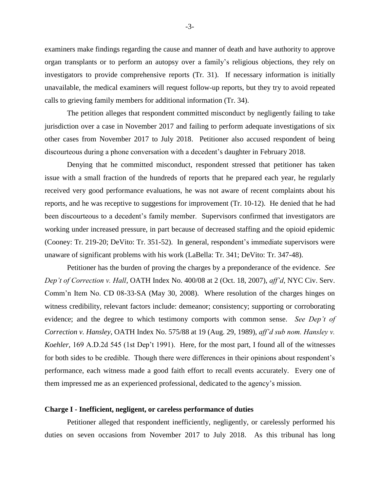examiners make findings regarding the cause and manner of death and have authority to approve organ transplants or to perform an autopsy over a family's religious objections, they rely on investigators to provide comprehensive reports (Tr. 31). If necessary information is initially unavailable, the medical examiners will request follow-up reports, but they try to avoid repeated calls to grieving family members for additional information (Tr. 34).

The petition alleges that respondent committed misconduct by negligently failing to take jurisdiction over a case in November 2017 and failing to perform adequate investigations of six other cases from November 2017 to July 2018. Petitioner also accused respondent of being discourteous during a phone conversation with a decedent's daughter in February 2018.

Denying that he committed misconduct, respondent stressed that petitioner has taken issue with a small fraction of the hundreds of reports that he prepared each year, he regularly received very good performance evaluations, he was not aware of recent complaints about his reports, and he was receptive to suggestions for improvement (Tr. 10-12). He denied that he had been discourteous to a decedent's family member. Supervisors confirmed that investigators are working under increased pressure, in part because of decreased staffing and the opioid epidemic (Cooney: Tr. 219-20; DeVito: Tr. 351-52). In general, respondent's immediate supervisors were unaware of significant problems with his work (LaBella: Tr. 341; DeVito: Tr. 347-48).

Petitioner has the burden of proving the charges by a preponderance of the evidence. *See Dep't of Correction v. Hall*, OATH Index No. 400/08 at 2 (Oct. 18, 2007), *aff'd*, NYC Civ. Serv. Comm'n Item No. CD 08-33-SA (May 30, 2008). Where resolution of the charges hinges on witness credibility, relevant factors include: demeanor; consistency; supporting or corroborating evidence; and the degree to which testimony comports with common sense. *See Dep't of Correction v. Hansley*, OATH Index No. 575/88 at 19 (Aug. 29, 1989), *aff'd sub nom. Hansley v. Koehler,* 169 A.D.2d 545 (1st Dep't 1991). Here, for the most part, I found all of the witnesses for both sides to be credible. Though there were differences in their opinions about respondent's performance, each witness made a good faith effort to recall events accurately. Every one of them impressed me as an experienced professional, dedicated to the agency's mission.

#### **Charge I - Inefficient, negligent, or careless performance of duties**

Petitioner alleged that respondent inefficiently, negligently, or carelessly performed his duties on seven occasions from November 2017 to July 2018. As this tribunal has long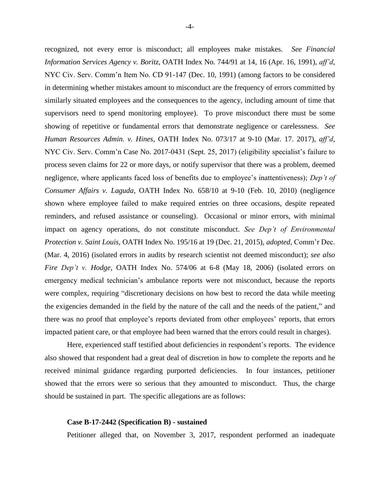recognized, not every error is misconduct; all employees make mistakes. *See Financial Information Services Agency v. Boritz*, OATH Index No. 744/91 at 14, 16 (Apr. 16, 1991), *aff'd*, NYC Civ. Serv. Comm'n Item No. CD 91-147 (Dec. 10, 1991) (among factors to be considered in determining whether mistakes amount to misconduct are the frequency of errors committed by similarly situated employees and the consequences to the agency, including amount of time that supervisors need to spend monitoring employee). To prove misconduct there must be some showing of repetitive or fundamental errors that demonstrate negligence or carelessness. *See Human Resources Admin. v. Hines*, OATH Index No. 073/17 at 9-10 (Mar. 17. 2017), *aff'd*, NYC Civ. Serv. Comm'n Case No. 2017-0431 (Sept. 25, 2017) (eligibility specialist's failure to process seven claims for 22 or more days, or notify supervisor that there was a problem, deemed negligence, where applicants faced loss of benefits due to employee's inattentiveness); *Dep't of Consumer Affairs v. Laguda*, OATH Index No. 658/10 at 9-10 (Feb. 10, 2010) (negligence shown where employee failed to make required entries on three occasions, despite repeated reminders, and refused assistance or counseling). Occasional or minor errors, with minimal impact on agency operations, do not constitute misconduct. *See Dep't of Environmental Protection v. Saint Louis,* OATH Index No. 195/16 at 19 (Dec. 21, 2015), *adopted*, Comm'r Dec. (Mar. 4, 2016) (isolated errors in audits by research scientist not deemed misconduct); *see also Fire Dep't v. Hodge,* OATH Index No. 574/06 at 6-8 (May 18, 2006) (isolated errors on emergency medical technician's ambulance reports were not misconduct, because the reports were complex, requiring "discretionary decisions on how best to record the data while meeting the exigencies demanded in the field by the nature of the call and the needs of the patient," and there was no proof that employee's reports deviated from other employees' reports, that errors impacted patient care, or that employee had been warned that the errors could result in charges).

Here, experienced staff testified about deficiencies in respondent's reports. The evidence also showed that respondent had a great deal of discretion in how to complete the reports and he received minimal guidance regarding purported deficiencies. In four instances, petitioner showed that the errors were so serious that they amounted to misconduct. Thus, the charge should be sustained in part. The specific allegations are as follows:

#### **Case B-17-2442 (Specification B) - sustained**

Petitioner alleged that, on November 3, 2017, respondent performed an inadequate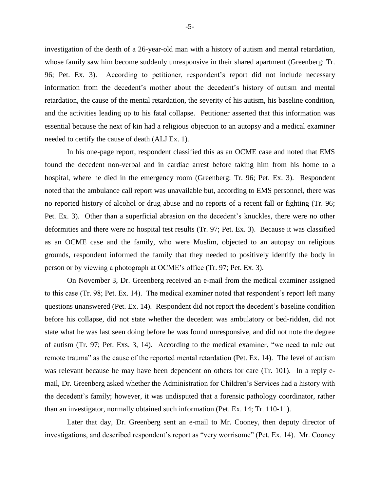investigation of the death of a 26-year-old man with a history of autism and mental retardation, whose family saw him become suddenly unresponsive in their shared apartment (Greenberg: Tr. 96; Pet. Ex. 3). According to petitioner, respondent's report did not include necessary information from the decedent's mother about the decedent's history of autism and mental retardation, the cause of the mental retardation, the severity of his autism, his baseline condition, and the activities leading up to his fatal collapse. Petitioner asserted that this information was essential because the next of kin had a religious objection to an autopsy and a medical examiner needed to certify the cause of death (ALJ Ex. 1).

In his one-page report, respondent classified this as an OCME case and noted that EMS found the decedent non-verbal and in cardiac arrest before taking him from his home to a hospital, where he died in the emergency room (Greenberg: Tr. 96; Pet. Ex. 3). Respondent noted that the ambulance call report was unavailable but, according to EMS personnel, there was no reported history of alcohol or drug abuse and no reports of a recent fall or fighting (Tr. 96; Pet. Ex. 3). Other than a superficial abrasion on the decedent's knuckles, there were no other deformities and there were no hospital test results (Tr. 97; Pet. Ex. 3). Because it was classified as an OCME case and the family, who were Muslim, objected to an autopsy on religious grounds, respondent informed the family that they needed to positively identify the body in person or by viewing a photograph at OCME's office (Tr. 97; Pet. Ex. 3).

On November 3, Dr. Greenberg received an e-mail from the medical examiner assigned to this case (Tr. 98; Pet. Ex. 14). The medical examiner noted that respondent's report left many questions unanswered (Pet. Ex. 14). Respondent did not report the decedent's baseline condition before his collapse, did not state whether the decedent was ambulatory or bed-ridden, did not state what he was last seen doing before he was found unresponsive, and did not note the degree of autism (Tr. 97; Pet. Exs. 3, 14). According to the medical examiner, "we need to rule out remote trauma" as the cause of the reported mental retardation (Pet. Ex. 14). The level of autism was relevant because he may have been dependent on others for care (Tr. 101). In a reply email, Dr. Greenberg asked whether the Administration for Children's Services had a history with the decedent's family; however, it was undisputed that a forensic pathology coordinator, rather than an investigator, normally obtained such information (Pet. Ex. 14; Tr. 110-11).

Later that day, Dr. Greenberg sent an e-mail to Mr. Cooney, then deputy director of investigations, and described respondent's report as "very worrisome" (Pet. Ex. 14). Mr. Cooney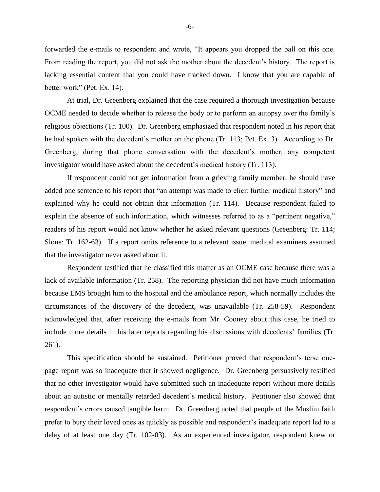forwarded the e-mails to respondent and wrote, "It appears you dropped the ball on this one. From reading the report, you did not ask the mother about the decedent's history. The report is lacking essential content that you could have tracked down. I know that you are capable of better work" (Pet. Ex. 14).

At trial, Dr. Greenberg explained that the case required a thorough investigation because OCME needed to decide whether to release the body or to perform an autopsy over the family's religious objections (Tr. 100). Dr. Greenberg emphasized that respondent noted in his report that he had spoken with the decedent's mother on the phone (Tr. 113; Pet. Ex. 3). According to Dr. Greenberg, during that phone conversation with the decedent's mother, any competent investigator would have asked about the decedent's medical history (Tr. 113).

If respondent could not get information from a grieving family member, he should have added one sentence to his report that "an attempt was made to elicit further medical history" and explained why he could not obtain that information (Tr. 114). Because respondent failed to explain the absence of such information, which witnesses referred to as a "pertinent negative," readers of his report would not know whether he asked relevant questions (Greenberg: Tr. 114; Slone: Tr. 162-63). If a report omits reference to a relevant issue, medical examiners assumed that the investigator never asked about it.

Respondent testified that he classified this matter as an OCME case because there was a lack of available information (Tr. 258). The reporting physician did not have much information because EMS brought him to the hospital and the ambulance report, which normally includes the circumstances of the discovery of the decedent, was unavailable (Tr. 258-59). Respondent acknowledged that, after receiving the e-mails from Mr. Cooney about this case, he tried to include more details in his later reports regarding his discussions with decedents' families (Tr. 261).

This specification should be sustained. Petitioner proved that respondent's terse onepage report was so inadequate that it showed negligence. Dr. Greenberg persuasively testified that no other investigator would have submitted such an inadequate report without more details about an autistic or mentally retarded decedent's medical history. Petitioner also showed that respondent's errors caused tangible harm. Dr. Greenberg noted that people of the Muslim faith prefer to bury their loved ones as quickly as possible and respondent's inadequate report led to a delay of at least one day (Tr. 102-03). As an experienced investigator, respondent knew or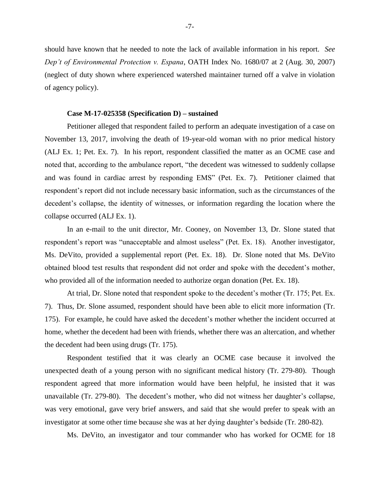should have known that he needed to note the lack of available information in his report. *See Dep't of Environmental Protection v. Espana*, OATH Index No. 1680/07 at 2 (Aug. 30, 2007) (neglect of duty shown where experienced watershed maintainer turned off a valve in violation of agency policy).

#### **Case M-17-025358 (Specification D) – sustained**

Petitioner alleged that respondent failed to perform an adequate investigation of a case on November 13, 2017, involving the death of 19-year-old woman with no prior medical history (ALJ Ex. 1; Pet. Ex. 7). In his report, respondent classified the matter as an OCME case and noted that, according to the ambulance report, "the decedent was witnessed to suddenly collapse and was found in cardiac arrest by responding EMS" (Pet. Ex. 7). Petitioner claimed that respondent's report did not include necessary basic information, such as the circumstances of the decedent's collapse, the identity of witnesses, or information regarding the location where the collapse occurred (ALJ Ex. 1).

In an e-mail to the unit director, Mr. Cooney, on November 13, Dr. Slone stated that respondent's report was "unacceptable and almost useless" (Pet. Ex. 18). Another investigator, Ms. DeVito, provided a supplemental report (Pet. Ex. 18). Dr. Slone noted that Ms. DeVito obtained blood test results that respondent did not order and spoke with the decedent's mother, who provided all of the information needed to authorize organ donation (Pet. Ex. 18).

At trial, Dr. Slone noted that respondent spoke to the decedent's mother (Tr. 175; Pet. Ex. 7). Thus, Dr. Slone assumed, respondent should have been able to elicit more information (Tr. 175). For example, he could have asked the decedent's mother whether the incident occurred at home, whether the decedent had been with friends, whether there was an altercation, and whether the decedent had been using drugs (Tr. 175).

Respondent testified that it was clearly an OCME case because it involved the unexpected death of a young person with no significant medical history (Tr. 279-80). Though respondent agreed that more information would have been helpful, he insisted that it was unavailable (Tr. 279-80). The decedent's mother, who did not witness her daughter's collapse, was very emotional, gave very brief answers, and said that she would prefer to speak with an investigator at some other time because she was at her dying daughter's bedside (Tr. 280-82).

Ms. DeVito, an investigator and tour commander who has worked for OCME for 18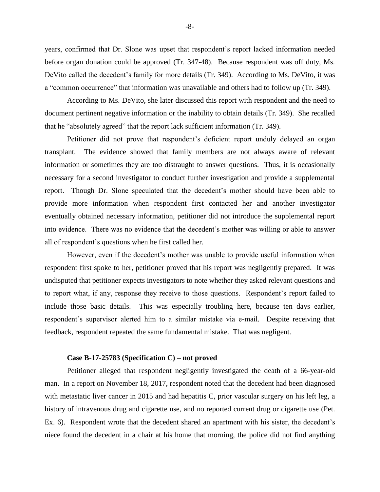years, confirmed that Dr. Slone was upset that respondent's report lacked information needed before organ donation could be approved (Tr. 347-48). Because respondent was off duty, Ms. DeVito called the decedent's family for more details (Tr. 349). According to Ms. DeVito, it was a "common occurrence" that information was unavailable and others had to follow up (Tr. 349).

According to Ms. DeVito, she later discussed this report with respondent and the need to document pertinent negative information or the inability to obtain details (Tr. 349). She recalled that he "absolutely agreed" that the report lack sufficient information (Tr. 349).

Petitioner did not prove that respondent's deficient report unduly delayed an organ transplant. The evidence showed that family members are not always aware of relevant information or sometimes they are too distraught to answer questions. Thus, it is occasionally necessary for a second investigator to conduct further investigation and provide a supplemental report. Though Dr. Slone speculated that the decedent's mother should have been able to provide more information when respondent first contacted her and another investigator eventually obtained necessary information, petitioner did not introduce the supplemental report into evidence. There was no evidence that the decedent's mother was willing or able to answer all of respondent's questions when he first called her.

However, even if the decedent's mother was unable to provide useful information when respondent first spoke to her, petitioner proved that his report was negligently prepared. It was undisputed that petitioner expects investigators to note whether they asked relevant questions and to report what, if any, response they receive to those questions. Respondent's report failed to include those basic details. This was especially troubling here, because ten days earlier, respondent's supervisor alerted him to a similar mistake via e-mail. Despite receiving that feedback, respondent repeated the same fundamental mistake. That was negligent.

#### **Case B-17-25783 (Specification C) – not proved**

Petitioner alleged that respondent negligently investigated the death of a 66-year-old man. In a report on November 18, 2017, respondent noted that the decedent had been diagnosed with metastatic liver cancer in 2015 and had hepatitis C, prior vascular surgery on his left leg, a history of intravenous drug and cigarette use, and no reported current drug or cigarette use (Pet. Ex. 6). Respondent wrote that the decedent shared an apartment with his sister, the decedent's niece found the decedent in a chair at his home that morning, the police did not find anything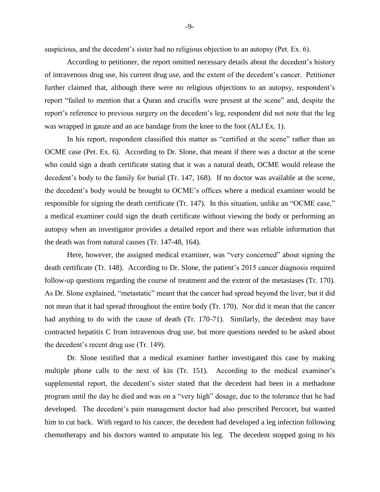suspicious, and the decedent's sister had no religious objection to an autopsy (Pet. Ex. 6).

According to petitioner, the report omitted necessary details about the decedent's history of intravenous drug use, his current drug use, and the extent of the decedent's cancer. Petitioner further claimed that, although there were no religious objections to an autopsy, respondent's report "failed to mention that a Quran and crucifix were present at the scene" and, despite the report's reference to previous surgery on the decedent's leg, respondent did not note that the leg was wrapped in gauze and an ace bandage from the knee to the foot (ALJ Ex. 1).

In his report, respondent classified this matter as "certified at the scene" rather than an OCME case (Pet. Ex. 6). According to Dr. Slone, that meant if there was a doctor at the scene who could sign a death certificate stating that it was a natural death, OCME would release the decedent's body to the family for burial (Tr. 147, 168). If no doctor was available at the scene, the decedent's body would be brought to OCME's offices where a medical examiner would be responsible for signing the death certificate (Tr. 147). In this situation, unlike an "OCME case," a medical examiner could sign the death certificate without viewing the body or performing an autopsy when an investigator provides a detailed report and there was reliable information that the death was from natural causes (Tr. 147-48, 164).

Here, however, the assigned medical examiner, was "very concerned" about signing the death certificate (Tr. 148). According to Dr. Slone, the patient's 2015 cancer diagnosis required follow-up questions regarding the course of treatment and the extent of the metastases (Tr. 170). As Dr. Slone explained, "metastatic" meant that the cancer had spread beyond the liver, but it did not mean that it had spread throughout the entire body (Tr. 170). Nor did it mean that the cancer had anything to do with the cause of death (Tr. 170-71). Similarly, the decedent may have contracted hepatitis C from intravenous drug use, but more questions needed to be asked about the decedent's recent drug use (Tr. 149).

Dr. Slone testified that a medical examiner further investigated this case by making multiple phone calls to the next of kin (Tr. 151). According to the medical examiner's supplemental report, the decedent's sister stated that the decedent had been in a methadone program until the day he died and was on a "very high" dosage, due to the tolerance that he had developed. The decedent's pain management doctor had also prescribed Percocet, but wanted him to cut back. With regard to his cancer, the decedent had developed a leg infection following chemotherapy and his doctors wanted to amputate his leg. The decedent stopped going to his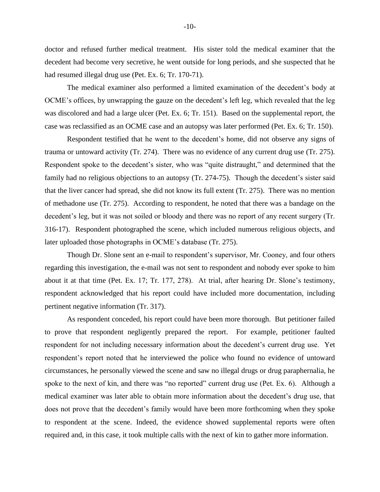doctor and refused further medical treatment. His sister told the medical examiner that the decedent had become very secretive, he went outside for long periods, and she suspected that he had resumed illegal drug use (Pet. Ex. 6; Tr. 170-71).

The medical examiner also performed a limited examination of the decedent's body at OCME's offices, by unwrapping the gauze on the decedent's left leg, which revealed that the leg was discolored and had a large ulcer (Pet. Ex. 6; Tr. 151). Based on the supplemental report, the case was reclassified as an OCME case and an autopsy was later performed (Pet. Ex. 6; Tr. 150).

Respondent testified that he went to the decedent's home, did not observe any signs of trauma or untoward activity (Tr. 274). There was no evidence of any current drug use (Tr. 275). Respondent spoke to the decedent's sister, who was "quite distraught," and determined that the family had no religious objections to an autopsy (Tr. 274-75). Though the decedent's sister said that the liver cancer had spread, she did not know its full extent (Tr. 275). There was no mention of methadone use (Tr. 275). According to respondent, he noted that there was a bandage on the decedent's leg, but it was not soiled or bloody and there was no report of any recent surgery (Tr. 316-17). Respondent photographed the scene, which included numerous religious objects, and later uploaded those photographs in OCME's database (Tr. 275).

Though Dr. Slone sent an e-mail to respondent's supervisor, Mr. Cooney, and four others regarding this investigation, the e-mail was not sent to respondent and nobody ever spoke to him about it at that time (Pet. Ex. 17; Tr. 177, 278). At trial, after hearing Dr. Slone's testimony, respondent acknowledged that his report could have included more documentation, including pertinent negative information (Tr. 317).

As respondent conceded, his report could have been more thorough. But petitioner failed to prove that respondent negligently prepared the report. For example, petitioner faulted respondent for not including necessary information about the decedent's current drug use. Yet respondent's report noted that he interviewed the police who found no evidence of untoward circumstances, he personally viewed the scene and saw no illegal drugs or drug paraphernalia, he spoke to the next of kin, and there was "no reported" current drug use (Pet. Ex. 6). Although a medical examiner was later able to obtain more information about the decedent's drug use, that does not prove that the decedent's family would have been more forthcoming when they spoke to respondent at the scene. Indeed, the evidence showed supplemental reports were often required and, in this case, it took multiple calls with the next of kin to gather more information.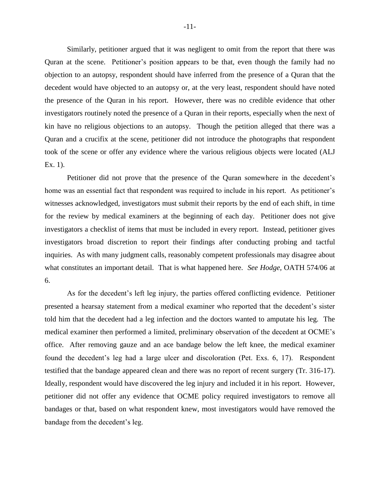Similarly, petitioner argued that it was negligent to omit from the report that there was Quran at the scene. Petitioner's position appears to be that, even though the family had no objection to an autopsy, respondent should have inferred from the presence of a Quran that the decedent would have objected to an autopsy or, at the very least, respondent should have noted the presence of the Quran in his report. However, there was no credible evidence that other investigators routinely noted the presence of a Quran in their reports, especially when the next of kin have no religious objections to an autopsy. Though the petition alleged that there was a Quran and a crucifix at the scene, petitioner did not introduce the photographs that respondent took of the scene or offer any evidence where the various religious objects were located (ALJ Ex. 1).

Petitioner did not prove that the presence of the Quran somewhere in the decedent's home was an essential fact that respondent was required to include in his report. As petitioner's witnesses acknowledged, investigators must submit their reports by the end of each shift, in time for the review by medical examiners at the beginning of each day. Petitioner does not give investigators a checklist of items that must be included in every report. Instead, petitioner gives investigators broad discretion to report their findings after conducting probing and tactful inquiries. As with many judgment calls, reasonably competent professionals may disagree about what constitutes an important detail. That is what happened here. *See Hodge,* OATH 574/06 at 6.

As for the decedent's left leg injury, the parties offered conflicting evidence. Petitioner presented a hearsay statement from a medical examiner who reported that the decedent's sister told him that the decedent had a leg infection and the doctors wanted to amputate his leg. The medical examiner then performed a limited, preliminary observation of the decedent at OCME's office. After removing gauze and an ace bandage below the left knee, the medical examiner found the decedent's leg had a large ulcer and discoloration (Pet. Exs. 6, 17). Respondent testified that the bandage appeared clean and there was no report of recent surgery (Tr. 316-17). Ideally, respondent would have discovered the leg injury and included it in his report. However, petitioner did not offer any evidence that OCME policy required investigators to remove all bandages or that, based on what respondent knew, most investigators would have removed the bandage from the decedent's leg.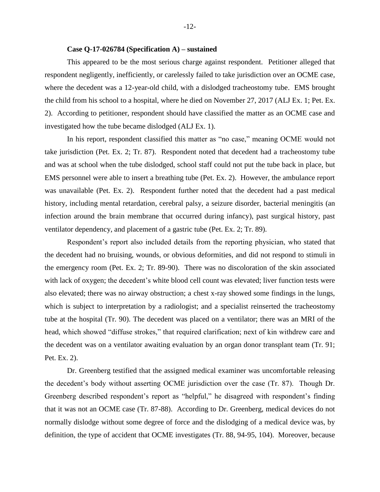#### **Case Q-17-026784 (Specification A) – sustained**

This appeared to be the most serious charge against respondent. Petitioner alleged that respondent negligently, inefficiently, or carelessly failed to take jurisdiction over an OCME case, where the decedent was a 12-year-old child, with a dislodged tracheostomy tube. EMS brought the child from his school to a hospital, where he died on November 27, 2017 (ALJ Ex. 1; Pet. Ex. 2). According to petitioner, respondent should have classified the matter as an OCME case and investigated how the tube became dislodged (ALJ Ex. 1).

In his report, respondent classified this matter as "no case," meaning OCME would not take jurisdiction (Pet. Ex. 2; Tr. 87). Respondent noted that decedent had a tracheostomy tube and was at school when the tube dislodged, school staff could not put the tube back in place, but EMS personnel were able to insert a breathing tube (Pet. Ex. 2). However, the ambulance report was unavailable (Pet. Ex. 2). Respondent further noted that the decedent had a past medical history, including mental retardation, cerebral palsy, a seizure disorder, bacterial meningitis (an infection around the brain membrane that occurred during infancy), past surgical history, past ventilator dependency, and placement of a gastric tube (Pet. Ex. 2; Tr. 89).

Respondent's report also included details from the reporting physician, who stated that the decedent had no bruising, wounds, or obvious deformities, and did not respond to stimuli in the emergency room (Pet. Ex. 2; Tr. 89-90). There was no discoloration of the skin associated with lack of oxygen; the decedent's white blood cell count was elevated; liver function tests were also elevated; there was no airway obstruction; a chest x-ray showed some findings in the lungs, which is subject to interpretation by a radiologist; and a specialist reinserted the tracheostomy tube at the hospital (Tr. 90). The decedent was placed on a ventilator; there was an MRI of the head, which showed "diffuse strokes," that required clarification; next of kin withdrew care and the decedent was on a ventilator awaiting evaluation by an organ donor transplant team (Tr. 91; Pet. Ex. 2).

Dr. Greenberg testified that the assigned medical examiner was uncomfortable releasing the decedent's body without asserting OCME jurisdiction over the case (Tr. 87). Though Dr. Greenberg described respondent's report as "helpful," he disagreed with respondent's finding that it was not an OCME case (Tr. 87-88). According to Dr. Greenberg, medical devices do not normally dislodge without some degree of force and the dislodging of a medical device was, by definition, the type of accident that OCME investigates (Tr. 88, 94-95, 104). Moreover, because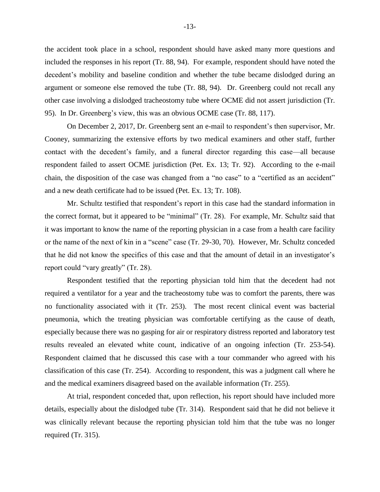the accident took place in a school, respondent should have asked many more questions and included the responses in his report (Tr. 88, 94). For example, respondent should have noted the decedent's mobility and baseline condition and whether the tube became dislodged during an argument or someone else removed the tube (Tr. 88, 94). Dr. Greenberg could not recall any other case involving a dislodged tracheostomy tube where OCME did not assert jurisdiction (Tr. 95). In Dr. Greenberg's view, this was an obvious OCME case (Tr. 88, 117).

On December 2, 2017, Dr. Greenberg sent an e-mail to respondent's then supervisor, Mr. Cooney, summarizing the extensive efforts by two medical examiners and other staff, further contact with the decedent's family, and a funeral director regarding this case—all because respondent failed to assert OCME jurisdiction (Pet. Ex. 13; Tr. 92). According to the e-mail chain, the disposition of the case was changed from a "no case" to a "certified as an accident" and a new death certificate had to be issued (Pet. Ex. 13; Tr. 108).

Mr. Schultz testified that respondent's report in this case had the standard information in the correct format, but it appeared to be "minimal" (Tr. 28). For example, Mr. Schultz said that it was important to know the name of the reporting physician in a case from a health care facility or the name of the next of kin in a "scene" case (Tr. 29-30, 70). However, Mr. Schultz conceded that he did not know the specifics of this case and that the amount of detail in an investigator's report could "vary greatly" (Tr. 28).

Respondent testified that the reporting physician told him that the decedent had not required a ventilator for a year and the tracheostomy tube was to comfort the parents, there was no functionality associated with it (Tr. 253). The most recent clinical event was bacterial pneumonia, which the treating physician was comfortable certifying as the cause of death, especially because there was no gasping for air or respiratory distress reported and laboratory test results revealed an elevated white count, indicative of an ongoing infection (Tr. 253-54). Respondent claimed that he discussed this case with a tour commander who agreed with his classification of this case (Tr. 254). According to respondent, this was a judgment call where he and the medical examiners disagreed based on the available information (Tr. 255).

At trial, respondent conceded that, upon reflection, his report should have included more details, especially about the dislodged tube (Tr. 314). Respondent said that he did not believe it was clinically relevant because the reporting physician told him that the tube was no longer required (Tr. 315).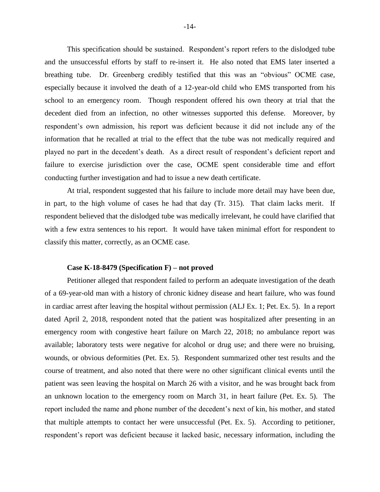This specification should be sustained. Respondent's report refers to the dislodged tube and the unsuccessful efforts by staff to re-insert it. He also noted that EMS later inserted a breathing tube. Dr. Greenberg credibly testified that this was an "obvious" OCME case, especially because it involved the death of a 12-year-old child who EMS transported from his school to an emergency room. Though respondent offered his own theory at trial that the decedent died from an infection, no other witnesses supported this defense. Moreover, by respondent's own admission, his report was deficient because it did not include any of the information that he recalled at trial to the effect that the tube was not medically required and played no part in the decedent's death. As a direct result of respondent's deficient report and failure to exercise jurisdiction over the case, OCME spent considerable time and effort conducting further investigation and had to issue a new death certificate.

At trial, respondent suggested that his failure to include more detail may have been due, in part, to the high volume of cases he had that day (Tr. 315). That claim lacks merit. If respondent believed that the dislodged tube was medically irrelevant, he could have clarified that with a few extra sentences to his report. It would have taken minimal effort for respondent to classify this matter, correctly, as an OCME case.

#### **Case K-18-8479 (Specification F) – not proved**

Petitioner alleged that respondent failed to perform an adequate investigation of the death of a 69-year-old man with a history of chronic kidney disease and heart failure, who was found in cardiac arrest after leaving the hospital without permission (ALJ Ex. 1; Pet. Ex. 5). In a report dated April 2, 2018, respondent noted that the patient was hospitalized after presenting in an emergency room with congestive heart failure on March 22, 2018; no ambulance report was available; laboratory tests were negative for alcohol or drug use; and there were no bruising, wounds, or obvious deformities (Pet. Ex. 5). Respondent summarized other test results and the course of treatment, and also noted that there were no other significant clinical events until the patient was seen leaving the hospital on March 26 with a visitor, and he was brought back from an unknown location to the emergency room on March 31, in heart failure (Pet. Ex. 5). The report included the name and phone number of the decedent's next of kin, his mother, and stated that multiple attempts to contact her were unsuccessful (Pet. Ex. 5). According to petitioner, respondent's report was deficient because it lacked basic, necessary information, including the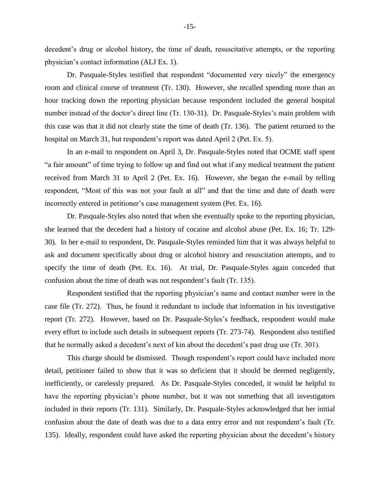decedent's drug or alcohol history, the time of death, resuscitative attempts, or the reporting physician's contact information (ALJ Ex. 1).

Dr. Pasquale-Styles testified that respondent "documented very nicely" the emergency room and clinical course of treatment (Tr. 130). However, she recalled spending more than an hour tracking down the reporting physician because respondent included the general hospital number instead of the doctor's direct line (Tr. 130-31). Dr. Pasquale-Styles's main problem with this case was that it did not clearly state the time of death (Tr. 136). The patient returned to the hospital on March 31, but respondent's report was dated April 2 (Pet. Ex. 5).

In an e-mail to respondent on April 3, Dr. Pasquale-Styles noted that OCME staff spent "a fair amount" of time trying to follow up and find out what if any medical treatment the patient received from March 31 to April 2 (Pet. Ex. 16). However, she began the e-mail by telling respondent, "Most of this was not your fault at all" and that the time and date of death were incorrectly entered in petitioner's case management system (Pet. Ex. 16).

Dr. Pasquale-Styles also noted that when she eventually spoke to the reporting physician, she learned that the decedent had a history of cocaine and alcohol abuse (Pet. Ex. 16; Tr. 129- 30). In her e-mail to respondent, Dr. Pasquale-Styles reminded him that it was always helpful to ask and document specifically about drug or alcohol history and resuscitation attempts, and to specify the time of death (Pet. Ex. 16). At trial, Dr. Pasquale-Styles again conceded that confusion about the time of death was not respondent's fault (Tr. 135).

Respondent testified that the reporting physician's name and contact number were in the case file (Tr. 272). Thus, he found it redundant to include that information in his investigative report (Tr. 272). However, based on Dr. Pasquale-Styles's feedback, respondent would make every effort to include such details in subsequent reports (Tr. 273-74). Respondent also testified that he normally asked a decedent's next of kin about the decedent's past drug use (Tr. 301).

This charge should be dismissed. Though respondent's report could have included more detail, petitioner failed to show that it was so deficient that it should be deemed negligently, inefficiently, or carelessly prepared. As Dr. Pasquale-Styles conceded, it would be helpful to have the reporting physician's phone number, but it was not something that all investigators included in their reports (Tr. 131). Similarly, Dr. Pasquale-Styles acknowledged that her initial confusion about the date of death was due to a data entry error and not respondent's fault (Tr. 135). Ideally, respondent could have asked the reporting physician about the decedent's history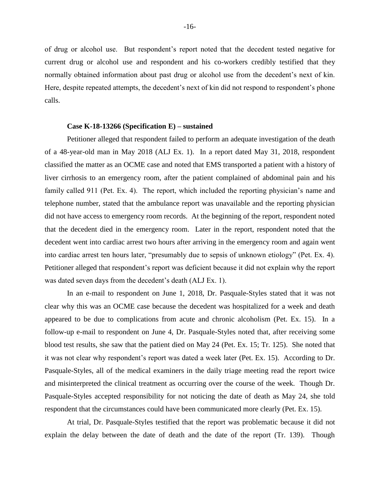of drug or alcohol use. But respondent's report noted that the decedent tested negative for current drug or alcohol use and respondent and his co-workers credibly testified that they normally obtained information about past drug or alcohol use from the decedent's next of kin. Here, despite repeated attempts, the decedent's next of kin did not respond to respondent's phone calls.

#### **Case K-18-13266 (Specification E) – sustained**

Petitioner alleged that respondent failed to perform an adequate investigation of the death of a 48-year-old man in May 2018 (ALJ Ex. 1). In a report dated May 31, 2018, respondent classified the matter as an OCME case and noted that EMS transported a patient with a history of liver cirrhosis to an emergency room, after the patient complained of abdominal pain and his family called 911 (Pet. Ex. 4). The report, which included the reporting physician's name and telephone number, stated that the ambulance report was unavailable and the reporting physician did not have access to emergency room records. At the beginning of the report, respondent noted that the decedent died in the emergency room. Later in the report, respondent noted that the decedent went into cardiac arrest two hours after arriving in the emergency room and again went into cardiac arrest ten hours later, "presumably due to sepsis of unknown etiology" (Pet. Ex. 4). Petitioner alleged that respondent's report was deficient because it did not explain why the report was dated seven days from the decedent's death (ALJ Ex. 1).

In an e-mail to respondent on June 1, 2018, Dr. Pasquale-Styles stated that it was not clear why this was an OCME case because the decedent was hospitalized for a week and death appeared to be due to complications from acute and chronic alcoholism (Pet. Ex. 15). In a follow-up e-mail to respondent on June 4, Dr. Pasquale-Styles noted that, after receiving some blood test results, she saw that the patient died on May 24 (Pet. Ex. 15; Tr. 125). She noted that it was not clear why respondent's report was dated a week later (Pet. Ex. 15). According to Dr. Pasquale-Styles, all of the medical examiners in the daily triage meeting read the report twice and misinterpreted the clinical treatment as occurring over the course of the week. Though Dr. Pasquale-Styles accepted responsibility for not noticing the date of death as May 24, she told respondent that the circumstances could have been communicated more clearly (Pet. Ex. 15).

At trial, Dr. Pasquale-Styles testified that the report was problematic because it did not explain the delay between the date of death and the date of the report (Tr. 139). Though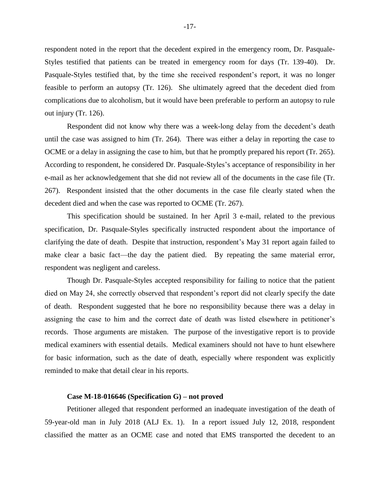respondent noted in the report that the decedent expired in the emergency room, Dr. Pasquale-Styles testified that patients can be treated in emergency room for days (Tr. 139-40). Dr. Pasquale-Styles testified that, by the time she received respondent's report, it was no longer feasible to perform an autopsy (Tr. 126). She ultimately agreed that the decedent died from complications due to alcoholism, but it would have been preferable to perform an autopsy to rule out injury (Tr. 126).

Respondent did not know why there was a week-long delay from the decedent's death until the case was assigned to him (Tr. 264). There was either a delay in reporting the case to OCME or a delay in assigning the case to him, but that he promptly prepared his report (Tr. 265). According to respondent, he considered Dr. Pasquale-Styles's acceptance of responsibility in her e-mail as her acknowledgement that she did not review all of the documents in the case file (Tr. 267). Respondent insisted that the other documents in the case file clearly stated when the decedent died and when the case was reported to OCME (Tr. 267).

This specification should be sustained. In her April 3 e-mail, related to the previous specification, Dr. Pasquale-Styles specifically instructed respondent about the importance of clarifying the date of death. Despite that instruction, respondent's May 31 report again failed to make clear a basic fact—the day the patient died. By repeating the same material error, respondent was negligent and careless.

Though Dr. Pasquale-Styles accepted responsibility for failing to notice that the patient died on May 24, she correctly observed that respondent's report did not clearly specify the date of death. Respondent suggested that he bore no responsibility because there was a delay in assigning the case to him and the correct date of death was listed elsewhere in petitioner's records. Those arguments are mistaken. The purpose of the investigative report is to provide medical examiners with essential details. Medical examiners should not have to hunt elsewhere for basic information, such as the date of death, especially where respondent was explicitly reminded to make that detail clear in his reports.

## **Case M-18-016646 (Specification G) – not proved**

Petitioner alleged that respondent performed an inadequate investigation of the death of 59-year-old man in July 2018 (ALJ Ex. 1). In a report issued July 12, 2018, respondent classified the matter as an OCME case and noted that EMS transported the decedent to an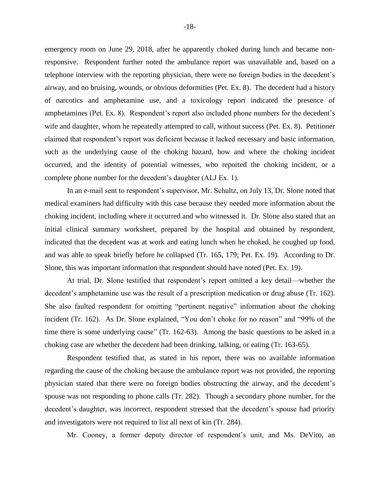emergency room on June 29, 2018, after he apparently choked during lunch and became nonresponsive. Respondent further noted the ambulance report was unavailable and, based on a telephone interview with the reporting physician, there were no foreign bodies in the decedent's airway, and no bruising, wounds, or obvious deformities (Pet. Ex. 8). The decedent had a history of narcotics and amphetamine use, and a toxicology report indicated the presence of amphetamines (Pet. Ex. 8). Respondent's report also included phone numbers for the decedent's wife and daughter, whom he repeatedly attempted to call, without success (Pet. Ex. 8). Petitioner claimed that respondent's report was deficient because it lacked necessary and basic information, such as the underlying cause of the choking hazard, how and where the choking incident occurred, and the identity of potential witnesses, who reported the choking incident, or a complete phone number for the decedent's daughter (ALJ Ex. 1).

In an e-mail sent to respondent's supervisor, Mr. Schultz, on July 13, Dr. Slone noted that medical examiners had difficulty with this case because they needed more information about the choking incident, including where it occurred and who witnessed it. Dr. Slone also stated that an initial clinical summary worksheet, prepared by the hospital and obtained by respondent, indicated that the decedent was at work and eating lunch when he choked, he coughed up food, and was able to speak briefly before he collapsed (Tr. 165, 179; Pet. Ex. 19). According to Dr. Slone, this was important information that respondent should have noted (Pet. Ex. 19).

At trial, Dr. Slone testified that respondent's report omitted a key detail—whether the decedent's amphetamine use was the result of a prescription medication or drug abuse (Tr. 162). She also faulted respondent for omitting "pertinent negative" information about the choking incident (Tr. 162). As Dr. Slone explained, "You don't choke for no reason" and "99% of the time there is some underlying cause" (Tr. 162-63). Among the basic questions to be asked in a choking case are whether the decedent had been drinking, talking, or eating (Tr. 163-65).

Respondent testified that, as stated in his report, there was no available information regarding the cause of the choking because the ambulance report was not provided, the reporting physician stated that there were no foreign bodies obstructing the airway, and the decedent's spouse was not responding to phone calls (Tr. 282). Though a secondary phone number, for the decedent's daughter, was incorrect, respondent stressed that the decedent's spouse had priority and investigators were not required to list all next of kin (Tr. 284).

Mr. Cooney, a former deputy director of respondent's unit, and Ms. DeVito, an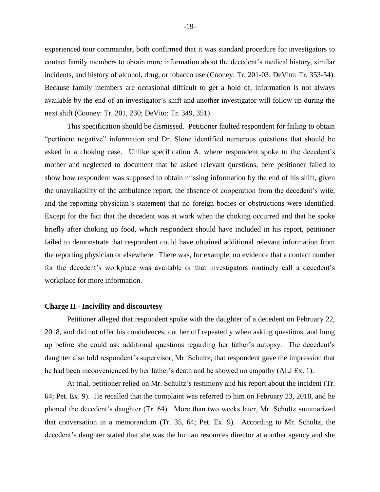experienced tour commander, both confirmed that it was standard procedure for investigators to contact family members to obtain more information about the decedent's medical history, similar incidents, and history of alcohol, drug, or tobacco use (Cooney: Tr. 201-03; DeVito: Tr. 353-54). Because family members are occasional difficult to get a hold of, information is not always available by the end of an investigator's shift and another investigator will follow up during the next shift (Cooney: Tr. 201, 230; DeVito: Tr. 349, 351).

This specification should be dismissed. Petitioner faulted respondent for failing to obtain "pertinent negative" information and Dr. Slone identified numerous questions that should be asked in a choking case. Unlike specification A, where respondent spoke to the decedent's mother and neglected to document that he asked relevant questions, here petitioner failed to show how respondent was supposed to obtain missing information by the end of his shift, given the unavailability of the ambulance report, the absence of cooperation from the decedent's wife, and the reporting physician's statement that no foreign bodies or obstructions were identified. Except for the fact that the decedent was at work when the choking occurred and that he spoke briefly after choking up food, which respondent should have included in his report, petitioner failed to demonstrate that respondent could have obtained additional relevant information from the reporting physician or elsewhere. There was, for example, no evidence that a contact number for the decedent's workplace was available or that investigators routinely call a decedent's workplace for more information.

#### **Charge II - Incivility and discourtesy**

Petitioner alleged that respondent spoke with the daughter of a decedent on February 22, 2018, and did not offer his condolences, cut her off repeatedly when asking questions, and hung up before she could ask additional questions regarding her father's autopsy. The decedent's daughter also told respondent's supervisor, Mr. Schultz, that respondent gave the impression that he had been inconvenienced by her father's death and he showed no empathy (ALJ Ex. 1).

At trial, petitioner relied on Mr. Schultz's testimony and his report about the incident (Tr. 64; Pet. Ex. 9). He recalled that the complaint was referred to him on February 23, 2018, and he phoned the decedent's daughter (Tr. 64). More than two weeks later, Mr. Schultz summarized that conversation in a memorandum (Tr. 35, 64; Pet. Ex. 9). According to Mr. Schultz, the decedent's daughter stated that she was the human resources director at another agency and she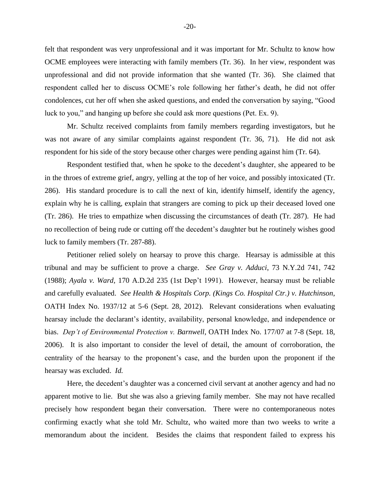felt that respondent was very unprofessional and it was important for Mr. Schultz to know how OCME employees were interacting with family members (Tr. 36). In her view, respondent was unprofessional and did not provide information that she wanted (Tr. 36). She claimed that respondent called her to discuss OCME's role following her father's death, he did not offer condolences, cut her off when she asked questions, and ended the conversation by saying, "Good luck to you," and hanging up before she could ask more questions (Pet. Ex. 9).

Mr. Schultz received complaints from family members regarding investigators, but he was not aware of any similar complaints against respondent (Tr. 36, 71). He did not ask respondent for his side of the story because other charges were pending against him (Tr. 64).

Respondent testified that, when he spoke to the decedent's daughter, she appeared to be in the throes of extreme grief, angry, yelling at the top of her voice, and possibly intoxicated (Tr. 286). His standard procedure is to call the next of kin, identify himself, identify the agency, explain why he is calling, explain that strangers are coming to pick up their deceased loved one (Tr. 286). He tries to empathize when discussing the circumstances of death (Tr. 287). He had no recollection of being rude or cutting off the decedent's daughter but he routinely wishes good luck to family members (Tr. 287-88).

Petitioner relied solely on hearsay to prove this charge. Hearsay is admissible at this tribunal and may be sufficient to prove a charge. *See Gray v. Adduci*, 73 N.Y.2d 741, 742 (1988); *Ayala v. Ward,* 170 A.D.2d 235 (1st Dep't 1991). However, hearsay must be reliable and carefully evaluated. *See Health & Hospitals Corp. (Kings Co. Hospital Ctr.) v. Hutchinson*, OATH Index No. 1937/12 at 5-6 (Sept. 28, 2012). Relevant considerations when evaluating hearsay include the declarant's identity, availability, personal knowledge, and independence or bias. *Dep't of Environmental Protection v. Barnwell*, OATH Index No. 177/07 at 7-8 (Sept. 18, 2006). It is also important to consider the level of detail, the amount of corroboration, the centrality of the hearsay to the proponent's case, and the burden upon the proponent if the hearsay was excluded. *Id.*

Here, the decedent's daughter was a concerned civil servant at another agency and had no apparent motive to lie. But she was also a grieving family member. She may not have recalled precisely how respondent began their conversation. There were no contemporaneous notes confirming exactly what she told Mr. Schultz, who waited more than two weeks to write a memorandum about the incident. Besides the claims that respondent failed to express his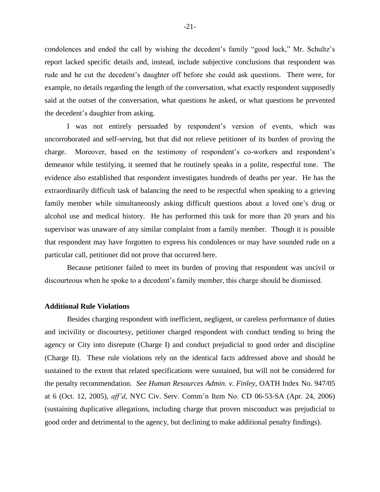condolences and ended the call by wishing the decedent's family "good luck," Mr. Schultz's report lacked specific details and, instead, include subjective conclusions that respondent was rude and he cut the decedent's daughter off before she could ask questions. There were, for example, no details regarding the length of the conversation, what exactly respondent supposedly said at the outset of the conversation, what questions he asked, or what questions he prevented the decedent's daughter from asking.

I was not entirely persuaded by respondent's version of events, which was uncorroborated and self-serving, but that did not relieve petitioner of its burden of proving the charge. Moreover, based on the testimony of respondent's co-workers and respondent's demeanor while testifying, it seemed that he routinely speaks in a polite, respectful tone. The evidence also established that respondent investigates hundreds of deaths per year. He has the extraordinarily difficult task of balancing the need to be respectful when speaking to a grieving family member while simultaneously asking difficult questions about a loved one's drug or alcohol use and medical history. He has performed this task for more than 20 years and his supervisor was unaware of any similar complaint from a family member. Though it is possible that respondent may have forgotten to express his condolences or may have sounded rude on a particular call, petitioner did not prove that occurred here.

Because petitioner failed to meet its burden of proving that respondent was uncivil or discourteous when he spoke to a decedent's family member, this charge should be dismissed.

#### **Additional Rule Violations**

Besides charging respondent with inefficient, negligent, or careless performance of duties and incivility or discourtesy, petitioner charged respondent with conduct tending to bring the agency or City into disrepute (Charge I) and conduct prejudicial to good order and discipline (Charge II). These rule violations rely on the identical facts addressed above and should be sustained to the extent that related specifications were sustained, but will not be considered for the penalty recommendation. *See Human Resources Admin. v. Finley,* OATH Index No. 947/05 at 6 (Oct. 12, 2005), *aff'd*, NYC Civ. Serv. Comm'n Item No. CD 06-53-SA (Apr. 24, 2006) (sustaining duplicative allegations, including charge that proven misconduct was prejudicial to good order and detrimental to the agency, but declining to make additional penalty findings).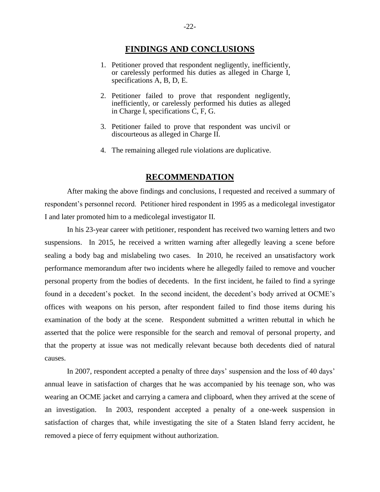## **FINDINGS AND CONCLUSIONS**

- 1. Petitioner proved that respondent negligently, inefficiently, or carelessly performed his duties as alleged in Charge I, specifications A, B, D, E.
- 2. Petitioner failed to prove that respondent negligently, inefficiently, or carelessly performed his duties as alleged in Charge I, specifications C, F, G.
- 3. Petitioner failed to prove that respondent was uncivil or discourteous as alleged in Charge II.
- 4. The remaining alleged rule violations are duplicative.

## **RECOMMENDATION**

After making the above findings and conclusions, I requested and received a summary of respondent's personnel record. Petitioner hired respondent in 1995 as a medicolegal investigator I and later promoted him to a medicolegal investigator II.

In his 23-year career with petitioner, respondent has received two warning letters and two suspensions. In 2015, he received a written warning after allegedly leaving a scene before sealing a body bag and mislabeling two cases. In 2010, he received an unsatisfactory work performance memorandum after two incidents where he allegedly failed to remove and voucher personal property from the bodies of decedents. In the first incident, he failed to find a syringe found in a decedent's pocket. In the second incident, the decedent's body arrived at OCME's offices with weapons on his person, after respondent failed to find those items during his examination of the body at the scene. Respondent submitted a written rebuttal in which he asserted that the police were responsible for the search and removal of personal property, and that the property at issue was not medically relevant because both decedents died of natural causes.

In 2007, respondent accepted a penalty of three days' suspension and the loss of 40 days' annual leave in satisfaction of charges that he was accompanied by his teenage son, who was wearing an OCME jacket and carrying a camera and clipboard, when they arrived at the scene of an investigation. In 2003, respondent accepted a penalty of a one-week suspension in satisfaction of charges that, while investigating the site of a Staten Island ferry accident, he removed a piece of ferry equipment without authorization.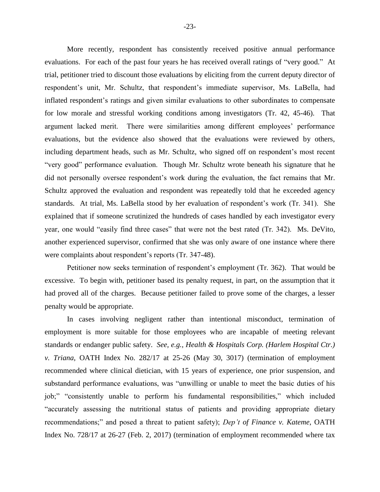More recently, respondent has consistently received positive annual performance evaluations. For each of the past four years he has received overall ratings of "very good." At trial, petitioner tried to discount those evaluations by eliciting from the current deputy director of respondent's unit, Mr. Schultz, that respondent's immediate supervisor, Ms. LaBella, had inflated respondent's ratings and given similar evaluations to other subordinates to compensate for low morale and stressful working conditions among investigators (Tr. 42, 45-46). That argument lacked merit. There were similarities among different employees' performance evaluations, but the evidence also showed that the evaluations were reviewed by others, including department heads, such as Mr. Schultz, who signed off on respondent's most recent "very good" performance evaluation. Though Mr. Schultz wrote beneath his signature that he did not personally oversee respondent's work during the evaluation, the fact remains that Mr. Schultz approved the evaluation and respondent was repeatedly told that he exceeded agency standards. At trial, Ms. LaBella stood by her evaluation of respondent's work (Tr. 341). She explained that if someone scrutinized the hundreds of cases handled by each investigator every year, one would "easily find three cases" that were not the best rated (Tr. 342). Ms. DeVito, another experienced supervisor, confirmed that she was only aware of one instance where there were complaints about respondent's reports (Tr. 347-48).

Petitioner now seeks termination of respondent's employment (Tr. 362). That would be excessive. To begin with, petitioner based its penalty request, in part, on the assumption that it had proved all of the charges. Because petitioner failed to prove some of the charges, a lesser penalty would be appropriate.

In cases involving negligent rather than intentional misconduct, termination of employment is more suitable for those employees who are incapable of meeting relevant standards or endanger public safety. *See, e.g., Health & Hospitals Corp. (Harlem Hospital Ctr.) v. Triana*, OATH Index No. 282/17 at 25-26 (May 30, 3017) (termination of employment recommended where clinical dietician, with 15 years of experience, one prior suspension, and substandard performance evaluations, was "unwilling or unable to meet the basic duties of his job;" "consistently unable to perform his fundamental responsibilities," which included "accurately assessing the nutritional status of patients and providing appropriate dietary recommendations;" and posed a threat to patient safety); *Dep't of Finance v. Kateme*, OATH Index No. 728/17 at 26-27 (Feb. 2, 2017) (termination of employment recommended where tax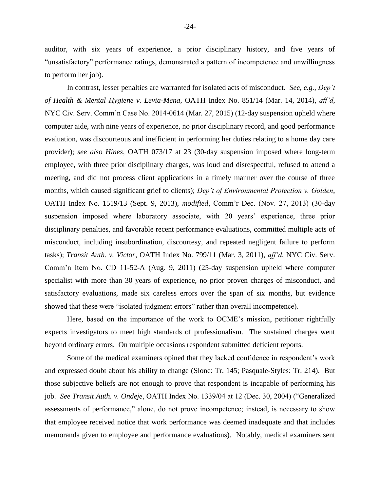auditor, with six years of experience, a prior disciplinary history, and five years of "unsatisfactory" performance ratings, demonstrated a pattern of incompetence and unwillingness to perform her job).

In contrast, lesser penalties are warranted for isolated acts of misconduct. *See, e.g., Dep't of Health & Mental Hygiene v. Levia-Mena*, OATH Index No. 851/14 (Mar. 14, 2014), *aff'd*, NYC Civ. Serv. Comm'n Case No. 2014-0614 (Mar. 27, 2015) (12-day suspension upheld where computer aide, with nine years of experience, no prior disciplinary record, and good performance evaluation, was discourteous and inefficient in performing her duties relating to a home day care provider); *see also Hines*, OATH 073/17 at 23 (30-day suspension imposed where long-term employee, with three prior disciplinary charges, was loud and disrespectful, refused to attend a meeting, and did not process client applications in a timely manner over the course of three months, which caused significant grief to clients); *Dep't of Environmental Protection v. Golden*, OATH Index No. 1519/13 (Sept. 9, 2013), *modified*, Comm'r Dec. (Nov. 27, 2013) (30-day suspension imposed where laboratory associate, with 20 years' experience, three prior disciplinary penalties, and favorable recent performance evaluations, committed multiple acts of misconduct, including insubordination, discourtesy, and repeated negligent failure to perform tasks); *Transit Auth. v. Victor*, OATH Index No. 799/11 (Mar. 3, 2011), *aff'd*, NYC Civ. Serv. Comm'n Item No. CD 11-52-A (Aug. 9, 2011) (25-day suspension upheld where computer specialist with more than 30 years of experience, no prior proven charges of misconduct, and satisfactory evaluations, made six careless errors over the span of six months, but evidence showed that these were "isolated judgment errors" rather than overall incompetence).

Here, based on the importance of the work to OCME's mission, petitioner rightfully expects investigators to meet high standards of professionalism. The sustained charges went beyond ordinary errors. On multiple occasions respondent submitted deficient reports.

Some of the medical examiners opined that they lacked confidence in respondent's work and expressed doubt about his ability to change (Slone: Tr. 145; Pasquale-Styles: Tr. 214). But those subjective beliefs are not enough to prove that respondent is incapable of performing his job. *See Transit Auth. v. Ondeje*, OATH Index No. 1339/04 at 12 (Dec. 30, 2004) ("Generalized assessments of performance," alone, do not prove incompetence; instead, is necessary to show that employee received notice that work performance was deemed inadequate and that includes memoranda given to employee and performance evaluations). Notably, medical examiners sent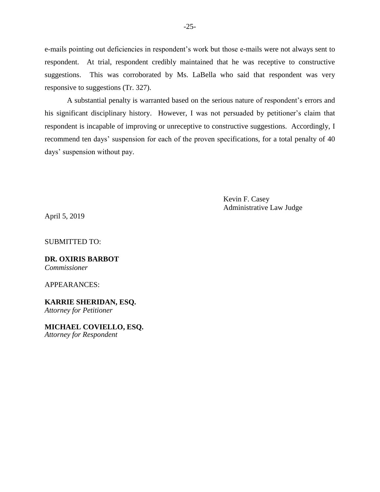e-mails pointing out deficiencies in respondent's work but those e-mails were not always sent to respondent. At trial, respondent credibly maintained that he was receptive to constructive suggestions. This was corroborated by Ms. LaBella who said that respondent was very responsive to suggestions (Tr. 327).

A substantial penalty is warranted based on the serious nature of respondent's errors and his significant disciplinary history. However, I was not persuaded by petitioner's claim that respondent is incapable of improving or unreceptive to constructive suggestions. Accordingly, I recommend ten days' suspension for each of the proven specifications, for a total penalty of 40 days' suspension without pay.

> Kevin F. Casey Administrative Law Judge

April 5, 2019

SUBMITTED TO:

**DR. OXIRIS BARBOT** *Commissioner*

APPEARANCES:

**KARRIE SHERIDAN, ESQ.** *Attorney for Petitioner*

**MICHAEL COVIELLO, ESQ.** *Attorney for Respondent*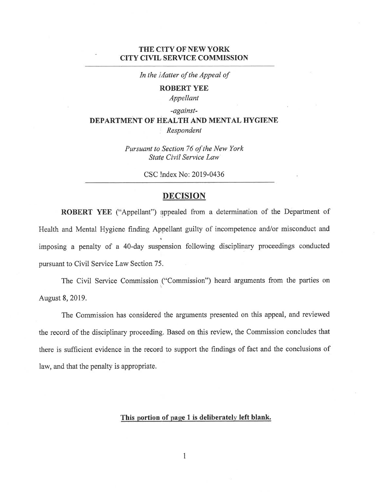## THE CITY OF NEW YORK **CITY CIVIL SERVICE COMMISSION**

In the iAatter of the Appeal of

**ROBERT YEE** 

Appellant

## -against-DEPARTMENT OF HEALTH AND MENTAL HYGIENE Respondent

Pursuant to Section 76 of the New York State Civil Service Law

CSC Index No: 2019-0436

## **DECISION**

ROBERT YEE ("Appellant") appealed from a determination of the Department of Health and Mental Hygiene finding Appellant guilty of incompetence and/or misconduct and imposing a penalty of a 40-day suspension following disciplinary proceedings conducted pursuant to Civil Service Law Section 75.

The Civil Service Commission ("Commission") heard arguments from the parties on August 8, 2019.

The Commission has considered the arguments presented on this appeal, and reviewed the record of the disciplinary proceeding. Based on this review, the Commission concludes that there is sufficient evidence in the record to support the findings of fact and the conclusions of law, and that the penalty is appropriate.

## This portion of page 1 is deliberately left blank.